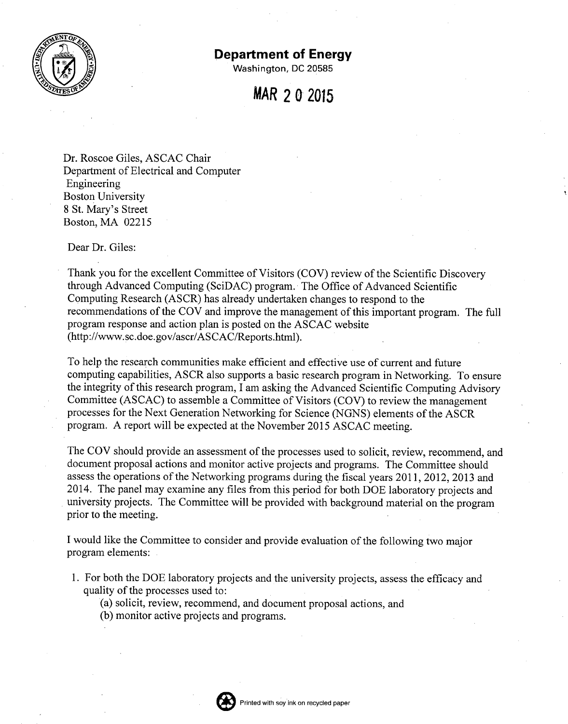

## **Department of Energy**

Washington, DC 20585

## *MAR* **202015**

Dr. Roscoe Giles, ASCAC Chair Department of Electrical and Computer Engineering Boston University 8 St. Mary's Street Boston, MA 02215

Dear Dr. Giles:

Thank you for the excellent Committee of Visitors (COV) review of the Scientific Discovery through Advanced Computing (SciDAC) program. The Office of Advanced Scientific Computing Research (ASCR) has already undertaken changes to respond to the recommendations of the COY and improve the management of this important program. The full program response and action plan is posted on the ASCAC website [\(http://www.sc.doe.gov/ascr/ASCAC/Reports.html\).](http://www.sc.doe.gov/ascr/ASCAC/Reports.html.)

To help the research communities make efficient and effective use of current and future computing capabilities, ASCR also supports a basic research program in Networking. To ensure the integrity of this research program, I am asking the Advanced Scientific Computing Advisory Committee (ASCAC) to assemble a Committee of Visitors (COV) to review the management processes for the Next Generation Networking for Science (NGNS) elements of the ASCR program. A report will be expected at the November 2015 ASCAC meeting.

The COV should provide an assessment of the processes used to solicit, review, recommend, and document proposal actions and monitor active projects and programs. The Committee should assess the operations of the Networking programs during the fiscal years 2011, 2012, 2013 and 2014. The panel may examine any files from this period for both DOE laboratory projects and university projects. The Committee will be provided with background material on the program prior to the meeting.

I would like the Committee to consider and provide evaluation of the following two major program elements:

- 1. For both the DOE laboratory projects and the university projects, assess the efficacy and quality of the processes used to:
	- (a) solicit, review, recommend, and document proposal actions, and
	- (b) monitor active projects and programs.